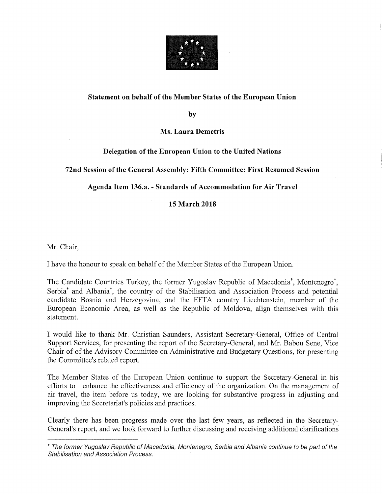

## Statement on behalf of the Member States of the European Union

by

Ms. Laura Demetris

Delegation of the European Union to the United Nations

72nd Session of the General Assembly: Fifth Committee: First Resumed Session

Agenda Item 136.a. - Standards of Accommodation for Air Travel

15 March 2018

Mr. Chair,

I have the honour to speak on behalf of the Member States of the European Union.

The Candidate Countries Turkey, the former Yugoslav Republic of Macedonia\*, Montenegro\*, Serbia\* and Albania\*, the country of the Stabilisation and Association Process and potential candidate Bosnia and Herzegovina, and the EFTA country Liechtenstein, member of the European Economic Area, as well as the Republic of Moldova, align themselves with this statement.

I would like to thank Mr. Christian Saunders, Assistant Secretary-General, Office of Central Support Services, for presenting the report of the Secretary-General, and Mr. Babou Sene, Vice Chair of of the Advisory Committee on Administrative and Budgetary Questions, for presenting the Committee's related report.

The Member States of the European Union continue to support the Secretary-General in his efforts to enhance the effectiveness and efficiency of the organization. On the management of air travel, the item before us today, we are looking for substantive progress in adjusting and improving the Secretariat's policies and practices.

Clearly there has been progress made over the last few years, as reflected in the Secretary-General's report, and we look forward to further discussing and receiving additional clarifications

<sup>\*</sup> The former Yugoslav Republic of Macedonia, Montenegro, Serbia and Albania continue to be part of the Stabilisation and Association Process.